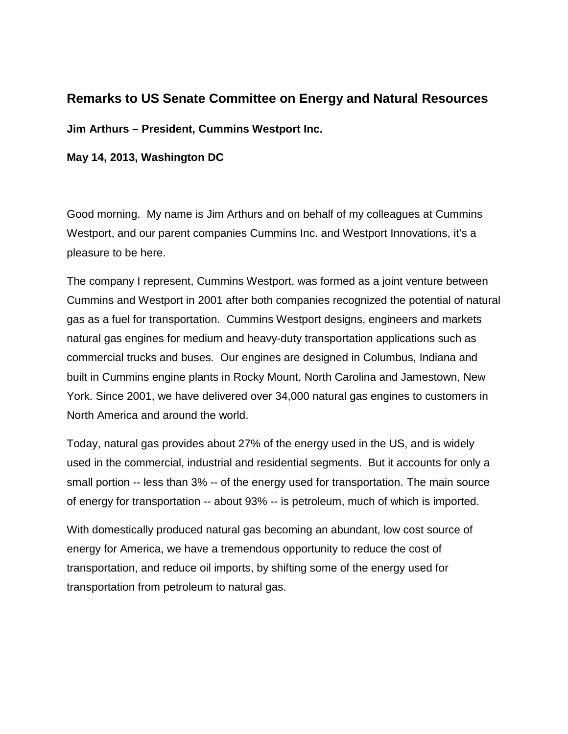# **Remarks to US Senate Committee on Energy and Natural Resources**

**Jim Arthurs – President, Cummins Westport Inc.**

## **May 14, 2013, Washington DC**

Good morning. My name is Jim Arthurs and on behalf of my colleagues at Cummins Westport, and our parent companies Cummins Inc. and Westport Innovations, it's a pleasure to be here.

The company I represent, Cummins Westport, was formed as a joint venture between Cummins and Westport in 2001 after both companies recognized the potential of natural gas as a fuel for transportation. Cummins Westport designs, engineers and markets natural gas engines for medium and heavy-duty transportation applications such as commercial trucks and buses. Our engines are designed in Columbus, Indiana and built in Cummins engine plants in Rocky Mount, North Carolina and Jamestown, New York. Since 2001, we have delivered over 34,000 natural gas engines to customers in North America and around the world.

Today, natural gas provides about 27% of the energy used in the US, and is widely used in the commercial, industrial and residential segments. But it accounts for only a small portion -- less than 3% -- of the energy used for transportation. The main source of energy for transportation -- about 93% -- is petroleum, much of which is imported.

With domestically produced natural gas becoming an abundant, low cost source of energy for America, we have a tremendous opportunity to reduce the cost of transportation, and reduce oil imports, by shifting some of the energy used for transportation from petroleum to natural gas.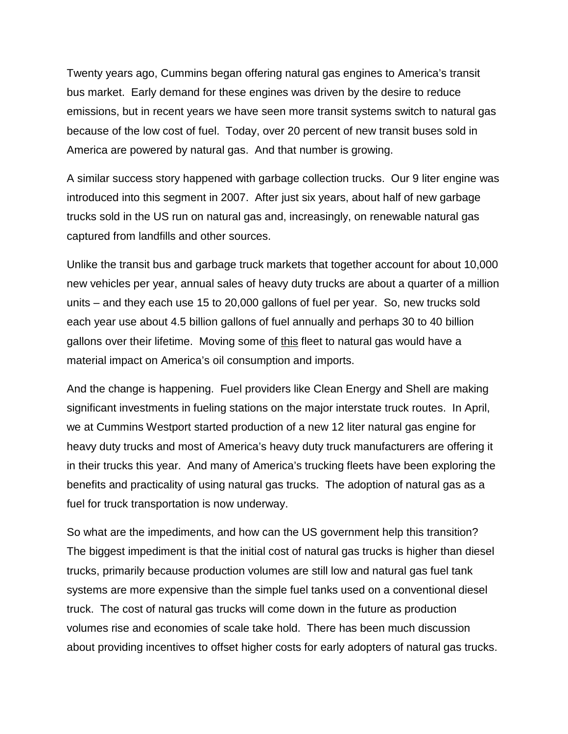Twenty years ago, Cummins began offering natural gas engines to America's transit bus market. Early demand for these engines was driven by the desire to reduce emissions, but in recent years we have seen more transit systems switch to natural gas because of the low cost of fuel. Today, over 20 percent of new transit buses sold in America are powered by natural gas. And that number is growing.

A similar success story happened with garbage collection trucks. Our 9 liter engine was introduced into this segment in 2007. After just six years, about half of new garbage trucks sold in the US run on natural gas and, increasingly, on renewable natural gas captured from landfills and other sources.

Unlike the transit bus and garbage truck markets that together account for about 10,000 new vehicles per year, annual sales of heavy duty trucks are about a quarter of a million units – and they each use 15 to 20,000 gallons of fuel per year. So, new trucks sold each year use about 4.5 billion gallons of fuel annually and perhaps 30 to 40 billion gallons over their lifetime. Moving some of this fleet to natural gas would have a material impact on America's oil consumption and imports.

And the change is happening. Fuel providers like Clean Energy and Shell are making significant investments in fueling stations on the major interstate truck routes. In April, we at Cummins Westport started production of a new 12 liter natural gas engine for heavy duty trucks and most of America's heavy duty truck manufacturers are offering it in their trucks this year. And many of America's trucking fleets have been exploring the benefits and practicality of using natural gas trucks. The adoption of natural gas as a fuel for truck transportation is now underway.

So what are the impediments, and how can the US government help this transition? The biggest impediment is that the initial cost of natural gas trucks is higher than diesel trucks, primarily because production volumes are still low and natural gas fuel tank systems are more expensive than the simple fuel tanks used on a conventional diesel truck. The cost of natural gas trucks will come down in the future as production volumes rise and economies of scale take hold. There has been much discussion about providing incentives to offset higher costs for early adopters of natural gas trucks.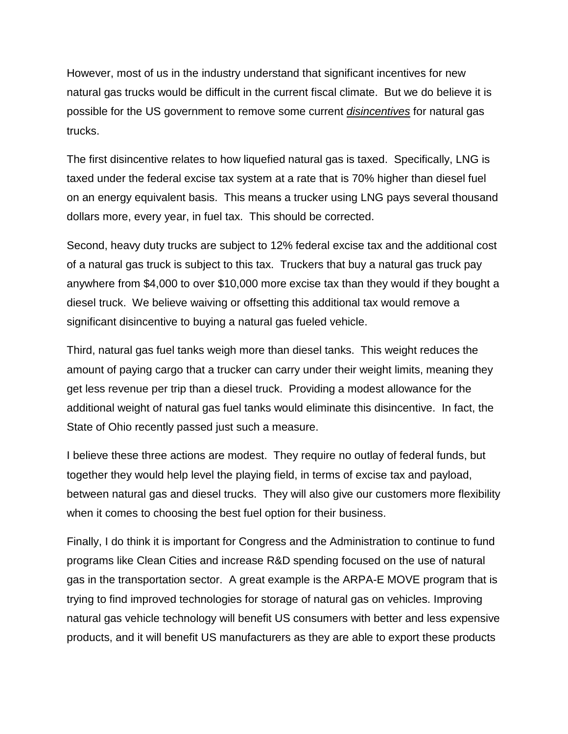However, most of us in the industry understand that significant incentives for new natural gas trucks would be difficult in the current fiscal climate. But we do believe it is possible for the US government to remove some current *disincentives* for natural gas trucks.

The first disincentive relates to how liquefied natural gas is taxed. Specifically, LNG is taxed under the federal excise tax system at a rate that is 70% higher than diesel fuel on an energy equivalent basis. This means a trucker using LNG pays several thousand dollars more, every year, in fuel tax. This should be corrected.

Second, heavy duty trucks are subject to 12% federal excise tax and the additional cost of a natural gas truck is subject to this tax. Truckers that buy a natural gas truck pay anywhere from \$4,000 to over \$10,000 more excise tax than they would if they bought a diesel truck. We believe waiving or offsetting this additional tax would remove a significant disincentive to buying a natural gas fueled vehicle.

Third, natural gas fuel tanks weigh more than diesel tanks. This weight reduces the amount of paying cargo that a trucker can carry under their weight limits, meaning they get less revenue per trip than a diesel truck. Providing a modest allowance for the additional weight of natural gas fuel tanks would eliminate this disincentive. In fact, the State of Ohio recently passed just such a measure.

I believe these three actions are modest. They require no outlay of federal funds, but together they would help level the playing field, in terms of excise tax and payload, between natural gas and diesel trucks. They will also give our customers more flexibility when it comes to choosing the best fuel option for their business.

Finally, I do think it is important for Congress and the Administration to continue to fund programs like Clean Cities and increase R&D spending focused on the use of natural gas in the transportation sector. A great example is the ARPA-E MOVE program that is trying to find improved technologies for storage of natural gas on vehicles. Improving natural gas vehicle technology will benefit US consumers with better and less expensive products, and it will benefit US manufacturers as they are able to export these products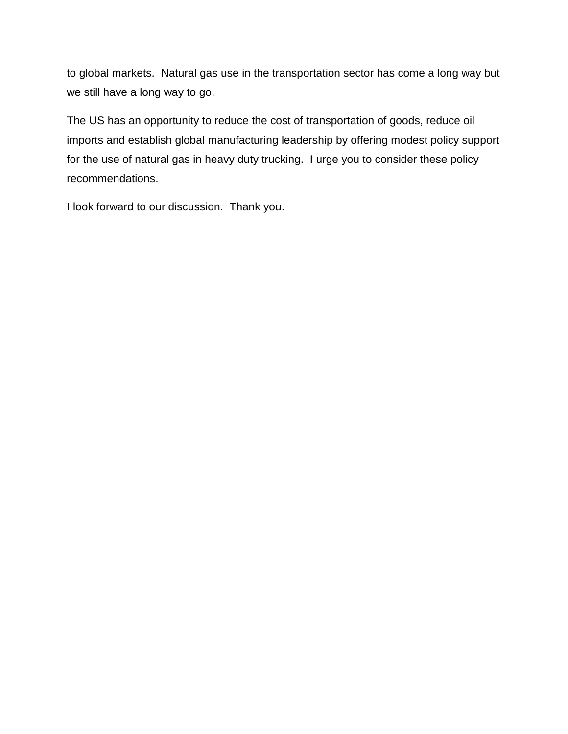to global markets. Natural gas use in the transportation sector has come a long way but we still have a long way to go.

The US has an opportunity to reduce the cost of transportation of goods, reduce oil imports and establish global manufacturing leadership by offering modest policy support for the use of natural gas in heavy duty trucking. I urge you to consider these policy recommendations.

I look forward to our discussion. Thank you.